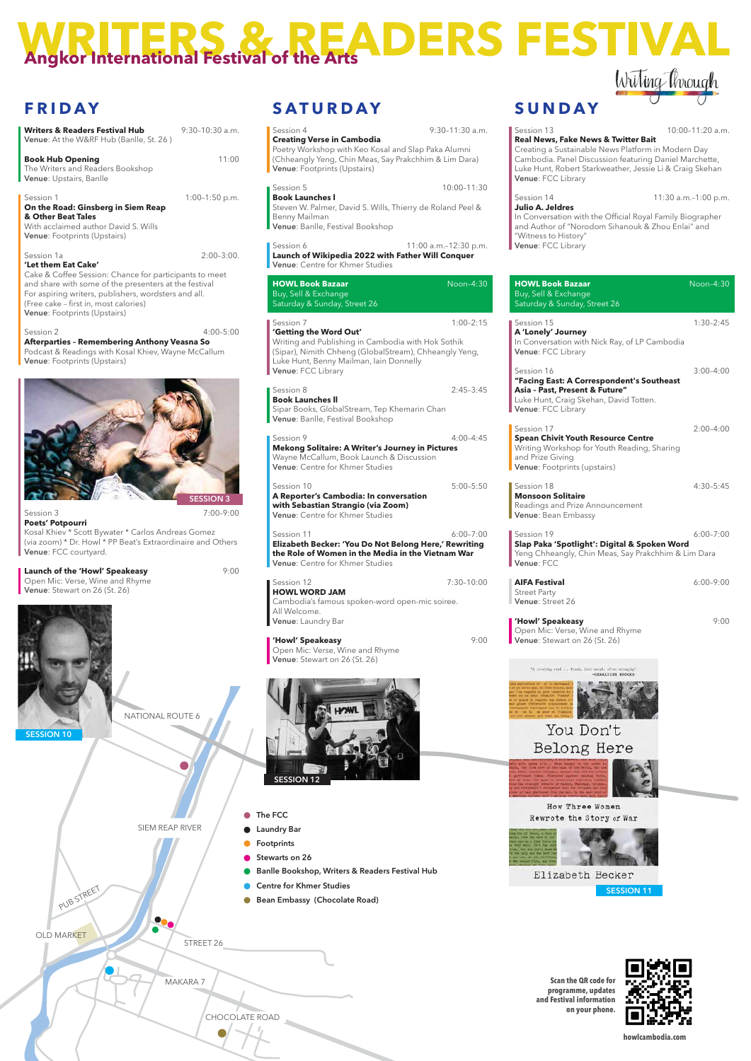

NATIONAL ROUTE 6

#### How Three Women Rewrote the Story of War

### **SUNDAY**

■ Session 13 10:00–11:20 a.m.

| Real News, Fake News & Twitter Bait<br>Creating a Sustainable News Platform in Modern Day<br>Cambodia. Panel Discussion featuring Daniel Marchette,<br>Luke Hunt, Robert Starkweather, Jessie Li & Craig Skehan<br>Venue: FCC Library |                      |
|---------------------------------------------------------------------------------------------------------------------------------------------------------------------------------------------------------------------------------------|----------------------|
| Session 14                                                                                                                                                                                                                            | 11:30 a.m.-1:00 p.m. |
| <b>Julio A. Jeldres</b><br>In Conversation with the Official Royal Family Biographer<br>and Author of "Norodom Sihanouk & Zhou Enlai" and<br>"Witness to History"<br>Venue: FCC Library                                               |                      |
| <b>HOWL Book Bazaar</b><br>Buy, Sell & Exchange<br>Saturday & Sunday, Street 26                                                                                                                                                       | Noon-4:30            |
| Session 15<br>A 'Lonely' Journey<br>In Conversation with Nick Ray, of LP Cambodia<br>Venue: FCC Library                                                                                                                               | $1:30 - 2:45$        |
| Session 16<br>"Facing East: A Correspondent's Southeast<br>Asia - Past, Present & Future"<br>Luke Hunt, Craig Skehan, David Totten.<br>Venue: FCC Library                                                                             | $3:00 - 4:00$        |
| Session 17<br><b>Spean Chivit Youth Resource Centre</b><br>Writing Workshop for Youth Reading, Sharing<br>and Prize Giving<br>Venue: Footprints (upstairs)                                                                            | $2:00 - 4:00$        |
| Session 18<br><b>Monsoon Solitaire</b><br>Readings and Prize Announcement<br>Venue: Bean Embassy                                                                                                                                      | $4:30 - 5:45$        |
| Session 19<br>Slap Paka 'Spotlight': Digital & Spoken Word<br>Yeng Chheangly, Chin Meas, Say Prakchhim & Lim Dara<br>Venue: FCC                                                                                                       | $6:00 - 7:00$        |
| <b>AIFA Festival</b><br><b>Street Party</b><br>Venue: Street 26                                                                                                                                                                       | $6:00 - 9:00$        |
| 'Howl' Speakeasy<br>Open Mic: Verse, Wine and Rhyme<br>Venue: Stewart on 26 (St. 26)                                                                                                                                                  | 9:00                 |



| Session 4                                                                                                                                                                                                            | $9:30-11:30$ a.m.     |
|----------------------------------------------------------------------------------------------------------------------------------------------------------------------------------------------------------------------|-----------------------|
| <b>Creating Verse in Cambodia</b><br>Poetry Workshop with Keo Kosal and Slap Paka Alumni<br>(Chheangly Yeng, Chin Meas, Say Prakchhim & Lim Dara)<br>Venue: Footprints (Upstairs)                                    |                       |
| Session 5<br><b>Book Launches I</b>                                                                                                                                                                                  | $10:00 - 11:30$       |
| Steven W. Palmer, David S. Wills, Thierry de Roland Peel &<br>Benny Mailman<br>Venue: Banlle, Festival Bookshop                                                                                                      |                       |
| Session 6<br>Launch of Wikipedia 2022 with Father Will Conquer<br>Venue: Centre for Khmer Studies                                                                                                                    | 11:00 a.m.-12:30 p.m. |
| <b>HOWL Book Bazaar</b><br>Buy, Sell & Exchange<br>Saturday & Sunday, Street 26                                                                                                                                      | Noon-4:30             |
| Session 7<br>'Getting the Word Out'<br>Writing and Publishing in Cambodia with Hok Sothik<br>(Sipar), Nimith Chheng (GlobalStream), Chheangly Yeng,<br>Luke Hunt, Benny Mailman, Iain Donnelly<br>Venue: FCC Library | $1:00 - 2:15$         |
| Session 8<br><b>Book Launches II</b><br>Sipar Books, GlobalStream, Tep Khemarin Chan<br>Venue: Banlle, Festival Bookshop                                                                                             | $2:45-3:45$           |
| Session 9<br><b>Mekong Solitaire: A Writer's Journey in Pictures</b><br>Wayne McCallum, Book Launch & Discussion<br>Venue: Centre for Khmer Studies                                                                  | 4:00–4:45             |
| Session 10<br>A Reporter's Cambodia: In conversation<br>with Sebastian Strangio (via Zoom)<br>Venue: Centre for Khmer Studies                                                                                        | $5:00 - 5:50$         |
| Session 11<br>Elizabeth Becker: 'You Do Not Belong Here,' Rewriting<br>the Role of Women in the Media in the Vietnam War<br>Venue: Centre for Khmer Studies                                                          | $6:00 - 7:00$         |
| Session 12<br><b>HOWL WORD JAM</b>                                                                                                                                                                                   | 7:30–10:00            |
| Cambodia's famous spoken-word open-mic soiree.<br>All Welcome.<br>Venue: Laundry Bar                                                                                                                                 |                       |
| 'Howl' Speakeasy<br>Open Mic: Verse, Wine and Rhyme<br>Venue: Stewart on 26 (St. 26)                                                                                                                                 | 9:00                  |
|                                                                                                                                                                                                                      |                       |

# **Angkor International Festival of the Arts DERS FESTIVAL**

## **FRIDAY**

**Poets' Potpourri** Kosal Khiev \* Scott Bywater \* Carlos Andreas Gomez (via zoom) \* Dr. Howl \* PP Beat's Extraordinaire and Others Venue: FCC courtyard.

| <b>Writers &amp; Readers Festival Hub</b><br>Venue: At the W&RF Hub (Banlle, St. 26)                                                                                                                                                                                                  | $9:30-10:30$ a.m. |
|---------------------------------------------------------------------------------------------------------------------------------------------------------------------------------------------------------------------------------------------------------------------------------------|-------------------|
| <b>Book Hub Opening</b><br>The Writers and Readers Bookshop<br>Venue: Upstairs, Banlle                                                                                                                                                                                                | 11:00             |
| Session 1<br>On the Road: Ginsberg in Siem Reap<br>& Other Beat Tales<br>With acclaimed author David S. Wills<br>Venue: Footprints (Upstairs)                                                                                                                                         | $1:00-1:50$ p.m.  |
| Session 1a<br>'Let them Eat Cake'<br>Cake & Coffee Session: Chance for participants to meet<br>and share with some of the presenters at the festival<br>For aspiring writers, publishers, wordsters and all.<br>(Free cake - first in, most calories)<br>Venue: Footprints (Upstairs) | $2:00-3:00.$      |
| Session 2<br><b>Afterparties - Remembering Anthony Veasna So</b><br>Podcast & Readings with Kosal Khiev, Wayne McCallum<br>Venue: Footprints (Upstairs)                                                                                                                               | $4:00 - 5:00$     |
|                                                                                                                                                                                                                                                                                       |                   |

**ESSION 3** 

**SATURDAY**

Session 3 7:00–9:00

**Launch of the 'Howl' Speakeasy P:00** Open Mic: Verse, Wine and Rhyme Venue: Stewart on 26 (St. 26)



SESSION 10







**Scan the QR code for programme, updates and Festival information on your phone.**



**howlcambodia.com**